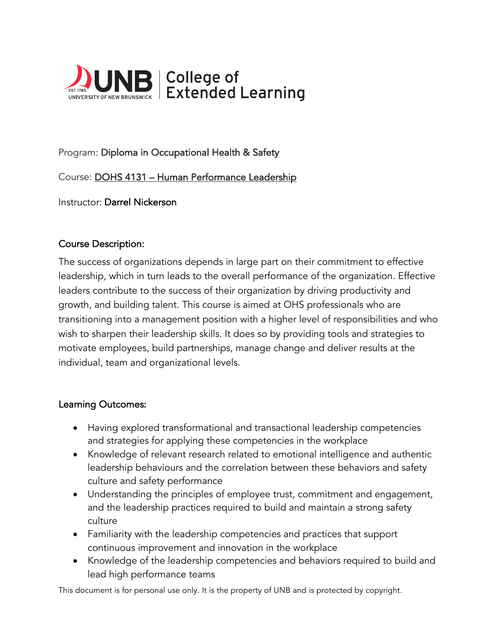

# Program: Diploma in Occupational Health & Safety

Course: DOHS 4131 – Human Performance Leadership

Instructor: Darrel Nickerson

### Course Description:

The success of organizations depends in large part on their commitment to effective leadership, which in turn leads to the overall performance of the organization. Effective leaders contribute to the success of their organization by driving productivity and growth, and building talent. This course is aimed at OHS professionals who are transitioning into a management position with a higher level of responsibilities and who wish to sharpen their leadership skills. It does so by providing tools and strategies to motivate employees, build partnerships, manage change and deliver results at the individual, team and organizational levels.

#### Learning Outcomes:

- Having explored transformational and transactional leadership competencies and strategies for applying these competencies in the workplace
- Knowledge of relevant research related to emotional intelligence and authentic leadership behaviours and the correlation between these behaviors and safety culture and safety performance
- Understanding the principles of employee trust, commitment and engagement, and the leadership practices required to build and maintain a strong safety culture
- Familiarity with the leadership competencies and practices that support continuous improvement and innovation in the workplace
- Knowledge of the leadership competencies and behaviors required to build and lead high performance teams

This document is for personal use only. It is the property of UNB and is protected by copyright.